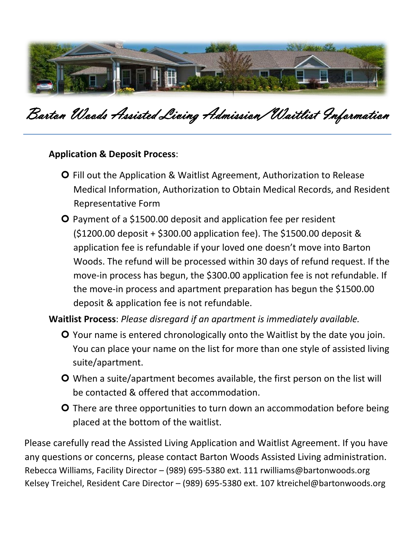

### Barton Woods Assisted Living Admission/Waitlist Information

#### **Application & Deposit Process**:

- **O** Fill out the Application & Waitlist Agreement, Authorization to Release Medical Information, Authorization to Obtain Medical Records, and Resident Representative Form
- **O** Payment of a \$1500.00 deposit and application fee per resident (\$1200.00 deposit + \$300.00 application fee). The \$1500.00 deposit & application fee is refundable if your loved one doesn't move into Barton Woods. The refund will be processed within 30 days of refund request. If the move-in process has begun, the \$300.00 application fee is not refundable. If the move-in process and apartment preparation has begun the \$1500.00 deposit & application fee is not refundable.

**Waitlist Process**: *Please disregard if an apartment is immediately available.*

- Your name is entered chronologically onto the Waitlist by the date you join. You can place your name on the list for more than one style of assisted living suite/apartment.
- When a suite/apartment becomes available, the first person on the list will be contacted & offered that accommodation.
- **O** There are three opportunities to turn down an accommodation before being placed at the bottom of the waitlist.

Please carefully read the Assisted Living Application and Waitlist Agreement. If you have any questions or concerns, please contact Barton Woods Assisted Living administration. Rebecca Williams, Facility Director – (989) 695-5380 ext. 111 rwilliams@bartonwoods.org Kelsey Treichel, Resident Care Director – (989) 695-5380 ext. 107 ktreichel@bartonwoods.org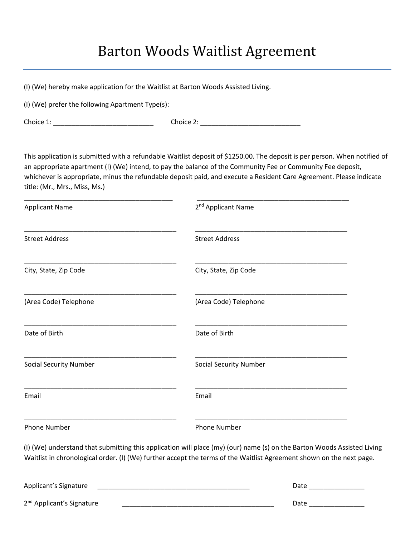#### Barton Woods Waitlist Agreement

(I) (We) hereby make application for the Waitlist at Barton Woods Assisted Living.

(I) (We) prefer the following Apartment Type(s):

Choice 1: \_\_\_\_\_\_\_\_\_\_\_\_\_\_\_\_\_\_\_\_\_\_\_\_\_\_\_ Choice 2: \_\_\_\_\_\_\_\_\_\_\_\_\_\_\_\_\_\_\_\_\_\_\_\_\_\_\_

This application is submitted with a refundable Waitlist deposit of \$1250.00. The deposit is per person. When notified of an appropriate apartment (I) (We) intend, to pay the balance of the Community Fee or Community Fee deposit, whichever is appropriate, minus the refundable deposit paid, and execute a Resident Care Agreement. Please indicate title: (Mr., Mrs., Miss, Ms.)

\_\_\_\_\_\_\_\_\_\_\_\_\_\_\_\_\_\_\_\_\_\_\_\_\_\_\_\_\_\_\_\_\_\_\_\_\_\_\_\_ \_\_\_\_\_\_\_\_\_\_\_\_\_\_\_\_\_\_\_\_\_\_\_\_\_\_\_\_\_\_\_\_\_\_\_\_\_\_\_\_\_

| <b>Applicant Name</b>         | 2 <sup>nd</sup> Applicant Name                                                                                                                                                                                                                  |  |  |
|-------------------------------|-------------------------------------------------------------------------------------------------------------------------------------------------------------------------------------------------------------------------------------------------|--|--|
| <b>Street Address</b>         | <b>Street Address</b>                                                                                                                                                                                                                           |  |  |
| City, State, Zip Code         | City, State, Zip Code                                                                                                                                                                                                                           |  |  |
| (Area Code) Telephone         | (Area Code) Telephone                                                                                                                                                                                                                           |  |  |
| Date of Birth                 | Date of Birth                                                                                                                                                                                                                                   |  |  |
| <b>Social Security Number</b> | <b>Social Security Number</b>                                                                                                                                                                                                                   |  |  |
| Email                         | Email                                                                                                                                                                                                                                           |  |  |
| Phone Number                  | Phone Number                                                                                                                                                                                                                                    |  |  |
|                               | (I) (We) understand that submitting this application will place (my) (our) name (s) on the Barton Woods Assisted Living<br>Waitlist in chronological order. (I) (We) further accept the terms of the Waitlist Agreement shown on the next page. |  |  |
| مستحصصات والمصداح والمرمر     | $D - L$                                                                                                                                                                                                                                         |  |  |

| Applicant's Signature                 | Date |  |
|---------------------------------------|------|--|
| 2 <sup>nd</sup> Applicant's Signature | Date |  |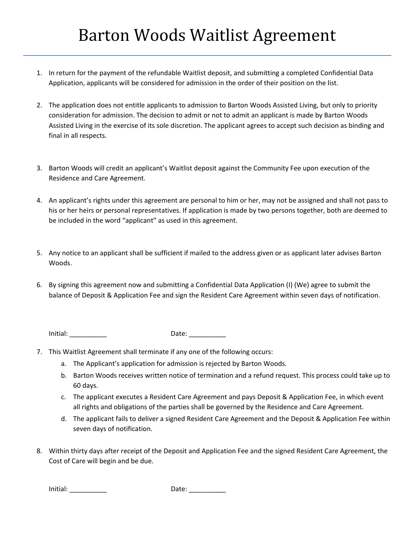- 1. In return for the payment of the refundable Waitlist deposit, and submitting a completed Confidential Data Application, applicants will be considered for admission in the order of their position on the list.
- 2. The application does not entitle applicants to admission to Barton Woods Assisted Living, but only to priority consideration for admission. The decision to admit or not to admit an applicant is made by Barton Woods Assisted Living in the exercise of its sole discretion. The applicant agrees to accept such decision as binding and final in all respects.
- 3. Barton Woods will credit an applicant's Waitlist deposit against the Community Fee upon execution of the Residence and Care Agreement.
- 4. An applicant's rights under this agreement are personal to him or her, may not be assigned and shall not pass to his or her heirs or personal representatives. If application is made by two persons together, both are deemed to be included in the word "applicant" as used in this agreement.
- 5. Any notice to an applicant shall be sufficient if mailed to the address given or as applicant later advises Barton Woods.
- 6. By signing this agreement now and submitting a Confidential Data Application (I) (We) agree to submit the balance of Deposit & Application Fee and sign the Resident Care Agreement within seven days of notification.

Initial: \_\_\_\_\_\_\_\_\_\_ Date: \_\_\_\_\_\_\_\_\_\_

- 7. This Waitlist Agreement shall terminate if any one of the following occurs:
	- a. The Applicant's application for admission is rejected by Barton Woods.
	- b. Barton Woods receives written notice of termination and a refund request. This process could take up to 60 days.
	- c. The applicant executes a Resident Care Agreement and pays Deposit & Application Fee, in which event all rights and obligations of the parties shall be governed by the Residence and Care Agreement.
	- d. The applicant fails to deliver a signed Resident Care Agreement and the Deposit & Application Fee within seven days of notification.
- 8. Within thirty days after receipt of the Deposit and Application Fee and the signed Resident Care Agreement, the Cost of Care will begin and be due.

Initial: \_\_\_\_\_\_\_\_\_\_ Date: \_\_\_\_\_\_\_\_\_\_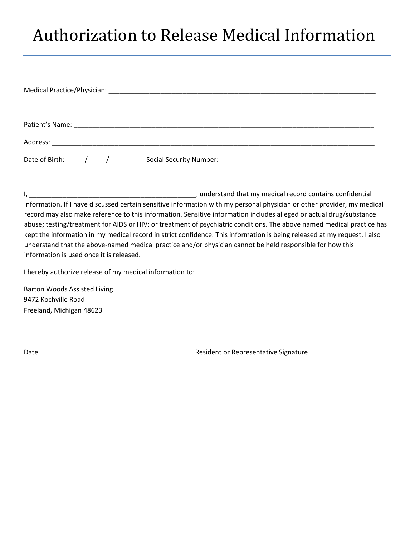# Authorization to Release Medical Information

| Date of Birth: $\frac{1}{\sqrt{2}}$ |  |
|-------------------------------------|--|

I, the contraction of the containst method of the contains of the contains confidential record contains confidential information. If I have discussed certain sensitive information with my personal physician or other provider, my medical record may also make reference to this information. Sensitive information includes alleged or actual drug/substance abuse; testing/treatment for AIDS or HIV; or treatment of psychiatric conditions. The above named medical practice has kept the information in my medical record in strict confidence. This information is being released at my request. I also understand that the above-named medical practice and/or physician cannot be held responsible for how this information is used once it is released.

\_\_\_\_\_\_\_\_\_\_\_\_\_\_\_\_\_\_\_\_\_\_\_\_\_\_\_\_\_\_\_\_\_\_\_\_\_\_\_\_\_\_\_\_ \_\_\_\_\_\_\_\_\_\_\_\_\_\_\_\_\_\_\_\_\_\_\_\_\_\_\_\_\_\_\_\_\_\_\_\_\_\_\_\_\_\_\_\_\_\_\_\_\_

I hereby authorize release of my medical information to:

Barton Woods Assisted Living 9472 Kochville Road Freeland, Michigan 48623

Date **Date Resident of Representative Signature** Resident or Representative Signature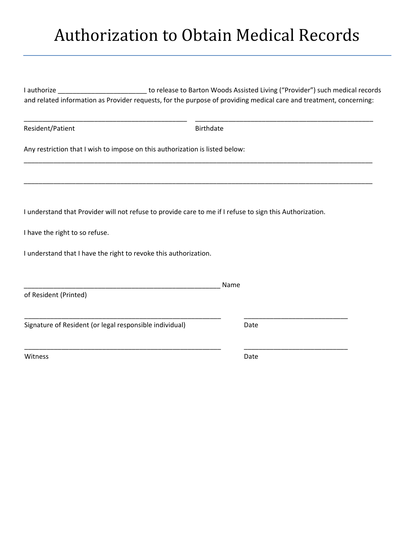# Authorization to Obtain Medical Records

I authorize \_\_\_\_\_\_\_\_\_\_\_\_\_\_\_\_\_\_\_\_\_\_\_\_\_\_\_\_ to release to Barton Woods Assisted Living ("Provider") such medical records and related information as Provider requests, for the purpose of providing medical care and treatment, concerning:

\_\_\_\_\_\_\_\_\_\_\_\_\_\_\_\_\_\_\_\_\_\_\_\_\_\_\_\_\_\_\_\_\_\_\_\_\_\_\_\_\_\_\_\_ \_\_\_\_\_\_\_\_\_\_\_\_\_\_\_\_\_\_\_\_\_\_\_\_\_\_\_\_\_\_\_\_\_\_\_\_\_\_\_\_\_\_\_\_\_\_\_\_

\_\_\_\_\_\_\_\_\_\_\_\_\_\_\_\_\_\_\_\_\_\_\_\_\_\_\_\_\_\_\_\_\_\_\_\_\_\_\_\_\_\_\_\_\_\_\_\_\_\_\_\_\_\_\_\_\_\_\_\_\_\_\_\_\_\_\_\_\_\_\_\_\_\_\_\_\_\_\_\_\_\_\_\_\_\_\_\_\_\_\_\_\_\_

\_\_\_\_\_\_\_\_\_\_\_\_\_\_\_\_\_\_\_\_\_\_\_\_\_\_\_\_\_\_\_\_\_\_\_\_\_\_\_\_\_\_\_\_\_\_\_\_\_\_\_\_\_\_\_\_\_\_\_\_\_\_\_\_\_\_\_\_\_\_\_\_\_\_\_\_\_\_\_\_\_\_\_\_\_\_\_\_\_\_\_\_\_\_

Resident/Patient and Birthdate

Any restriction that I wish to impose on this authorization is listed below:

I understand that Provider will not refuse to provide care to me if I refuse to sign this Authorization.

\_\_\_\_\_\_\_\_\_\_\_\_\_\_\_\_\_\_\_\_\_\_\_\_\_\_\_\_\_\_\_\_\_\_\_\_\_\_\_\_\_\_\_\_\_\_\_\_\_\_\_\_\_ \_\_\_\_\_\_\_\_\_\_\_\_\_\_\_\_\_\_\_\_\_\_\_\_\_\_\_\_

\_\_\_\_\_\_\_\_\_\_\_\_\_\_\_\_\_\_\_\_\_\_\_\_\_\_\_\_\_\_\_\_\_\_\_\_\_\_\_\_\_\_\_\_\_\_\_\_\_\_\_\_\_ \_\_\_\_\_\_\_\_\_\_\_\_\_\_\_\_\_\_\_\_\_\_\_\_\_\_\_\_

I have the right to so refuse.

I understand that I have the right to revoke this authorization.

\_\_\_\_\_\_\_\_\_\_\_\_\_\_\_\_\_\_\_\_\_\_\_\_\_\_\_\_\_\_\_\_\_\_\_\_\_\_\_\_\_\_\_\_\_\_\_\_\_\_\_\_\_ Name

of Resident (Printed)

Signature of Resident (or legal responsible individual) Date

Witness **Date**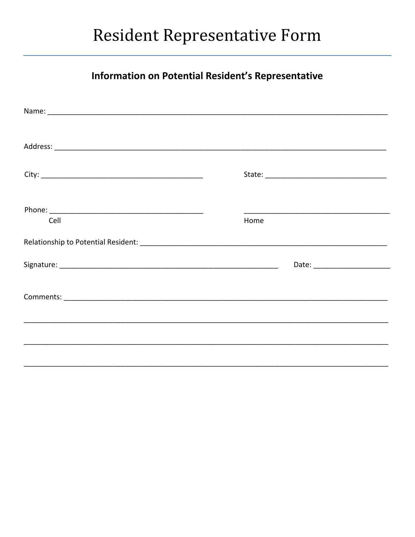### **Resident Representative Form**

#### Information on Potential Resident's Representative

| Cell | Home |  |
|------|------|--|
|      |      |  |
|      |      |  |
|      |      |  |
|      |      |  |
|      |      |  |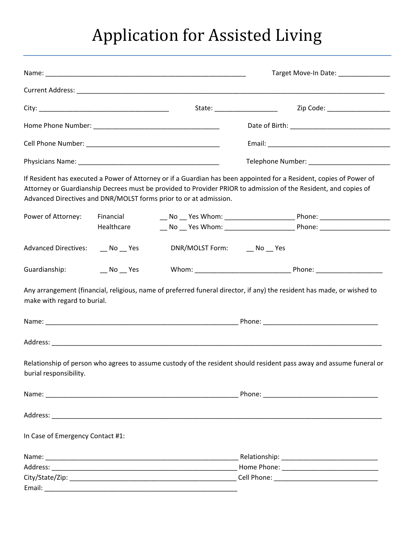# Application for Assisted Living

|                                   |                         |                                                                   | Target Move-In Date: ______________                                                                                                                                                                                                    |  |  |
|-----------------------------------|-------------------------|-------------------------------------------------------------------|----------------------------------------------------------------------------------------------------------------------------------------------------------------------------------------------------------------------------------------|--|--|
|                                   |                         |                                                                   |                                                                                                                                                                                                                                        |  |  |
|                                   |                         |                                                                   | Zip Code: _____________________<br>State: ____________________                                                                                                                                                                         |  |  |
|                                   |                         |                                                                   |                                                                                                                                                                                                                                        |  |  |
|                                   |                         |                                                                   |                                                                                                                                                                                                                                        |  |  |
|                                   |                         |                                                                   |                                                                                                                                                                                                                                        |  |  |
|                                   |                         | Advanced Directives and DNR/MOLST forms prior to or at admission. | If Resident has executed a Power of Attorney or if a Guardian has been appointed for a Resident, copies of Power of<br>Attorney or Guardianship Decrees must be provided to Provider PRIOR to admission of the Resident, and copies of |  |  |
| Power of Attorney:                | Financial<br>Healthcare |                                                                   |                                                                                                                                                                                                                                        |  |  |
| Advanced Directives: __ No __ Yes |                         | DNR/MOLST Form: ___ No __ Yes                                     |                                                                                                                                                                                                                                        |  |  |
| Guardianship:                     | $N$ o $N$ es            |                                                                   |                                                                                                                                                                                                                                        |  |  |
| make with regard to burial.       |                         |                                                                   | Any arrangement (financial, religious, name of preferred funeral director, if any) the resident has made, or wished to                                                                                                                 |  |  |
|                                   |                         |                                                                   |                                                                                                                                                                                                                                        |  |  |
|                                   |                         |                                                                   |                                                                                                                                                                                                                                        |  |  |
| burial responsibility.            |                         |                                                                   | Relationship of person who agrees to assume custody of the resident should resident pass away and assume funeral or                                                                                                                    |  |  |
|                                   |                         |                                                                   |                                                                                                                                                                                                                                        |  |  |
|                                   |                         |                                                                   |                                                                                                                                                                                                                                        |  |  |
| In Case of Emergency Contact #1:  |                         |                                                                   |                                                                                                                                                                                                                                        |  |  |
|                                   |                         |                                                                   |                                                                                                                                                                                                                                        |  |  |
|                                   |                         |                                                                   |                                                                                                                                                                                                                                        |  |  |
|                                   |                         |                                                                   |                                                                                                                                                                                                                                        |  |  |
|                                   |                         |                                                                   |                                                                                                                                                                                                                                        |  |  |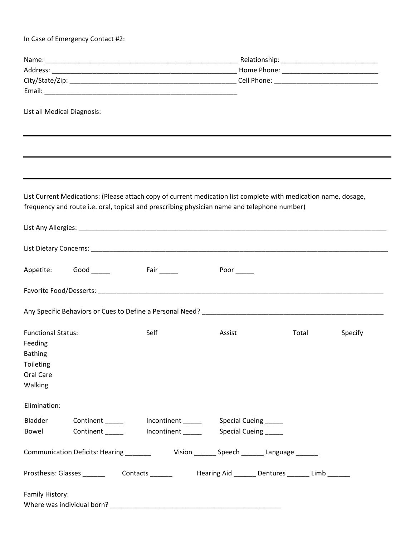In Case of Emergency Contact #2:

|                           | List all Medical Diagnosis: |                                                                                                                 |             |       |         |
|---------------------------|-----------------------------|-----------------------------------------------------------------------------------------------------------------|-------------|-------|---------|
|                           |                             |                                                                                                                 |             |       |         |
|                           |                             |                                                                                                                 |             |       |         |
|                           |                             |                                                                                                                 |             |       |         |
|                           |                             | List Current Medications: (Please attach copy of current medication list complete with medication name, dosage, |             |       |         |
|                           |                             | frequency and route i.e. oral, topical and prescribing physician name and telephone number)                     |             |       |         |
|                           |                             |                                                                                                                 |             |       |         |
|                           |                             |                                                                                                                 |             |       |         |
| Appetite:                 |                             |                                                                                                                 | Poor $\_\_$ |       |         |
|                           |                             |                                                                                                                 |             |       |         |
|                           |                             |                                                                                                                 |             |       |         |
| <b>Functional Status:</b> |                             | Self                                                                                                            | Assist      | Total | Specify |
| Feeding                   |                             |                                                                                                                 |             |       |         |
| <b>Bathing</b>            |                             |                                                                                                                 |             |       |         |
| Toileting                 |                             |                                                                                                                 |             |       |         |
| Oral Care<br>Walking      |                             |                                                                                                                 |             |       |         |
| Elimination:              |                             |                                                                                                                 |             |       |         |
| Bladder                   |                             |                                                                                                                 |             |       |         |
|                           |                             | Bowel Continent ______ Incontinent _____ Special Cueing ____                                                    |             |       |         |
|                           |                             | Communication Deficits: Hearing _________ Vision _______ Speech _______ Language ______                         |             |       |         |
|                           |                             | Prosthesis: Glasses ________  Contacts ________   Hearing Aid _______ Dentures _______ Limb _______             |             |       |         |
| Family History:           |                             |                                                                                                                 |             |       |         |
|                           |                             |                                                                                                                 |             |       |         |